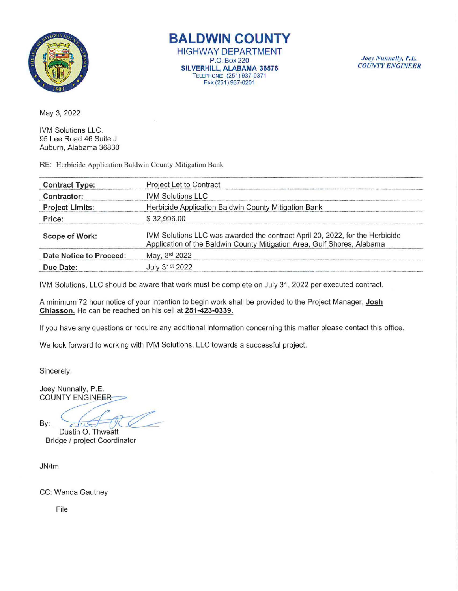

**BALDWIN COUNTY** 

HIGHWAY DEPARTMENT P.O. Box220 SILVERHILL, ALABAMA 36576 TELEPHONE: (251) 937-0371 FAX (251) 937-0201

Joey Nunnally, P.E. *COUNTY ENGINEER* 

May 3, 2022

IVM Solutions LLC. 95 Lee Road 46 Suite J Auburn, Alabama 36830

RE: Herbicide Application Baldwin County Mitigation Bank

| <b>Contract Type:</b>   | Project Let to Contract                                                                                                                                 |
|-------------------------|---------------------------------------------------------------------------------------------------------------------------------------------------------|
| Contractor:             | <b>IVM Solutions LLC</b>                                                                                                                                |
| <b>Project Limits:</b>  | Herbicide Application Baldwin County Mitigation Bank                                                                                                    |
| Price:                  | \$32,996.00                                                                                                                                             |
| <b>Scope of Work:</b>   | IVM Solutions LLC was awarded the contract April 20, 2022, for the Herbicide<br>Application of the Baldwin County Mitigation Area, Gulf Shores, Alabama |
| Date Notice to Proceed: | May, 3rd 2022                                                                                                                                           |
| Due Date:               | July 31st 2022                                                                                                                                          |

IVM Solutions, LLC should be aware that work must be complete on July 31, 2022 per executed contract.

A minimum 72 hour notice of your intention to begin work shall be provided to the Project Manager, Josh Chiasson. He can be reached on his cell at 251-423-0339.

If you have any questions or require any additional information concerning this matter please contact this office.

We look forward to working with IVM Solutions, LLC towards a successful project.

Sincerely,

Joey Nunnally, P.E. **COUNTY ENGINEER** 

By:

Dustin O. Thweatt Bridge / project Coordinator

JN/tm

CC: Wanda Gautney

File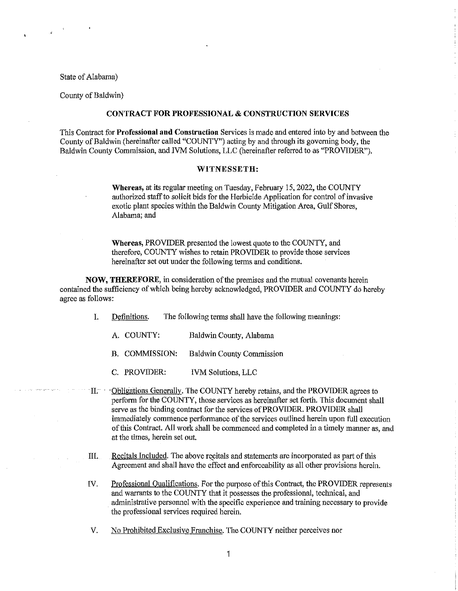#### State of Alabama)

# County of Baldwin)

# **CONTRACT FOR PROFESSIONAL & CONSTRUCTION SERVICES**

This Contract for **Professional and Constrnction** Services is made and entered into by and between the County of Baldwin (hereinafter called "COUNTY") acting by and through its governing body, the Baldwin County Commission, and IVM Solutions, LLC (hereinafter referred to as "PROVIDER").

## **WITNESSETH:**

**Whereas,** at its regular meeting on Tuesday, February 15, 2022, the COUNTY authorized staff to solicit bids for the Herbicide Application for control of invasive exotic plant species within the Baldwin County Mitigation Area, Gulf Shores, Alabama; and

**Whereas,** PROVIDER presented the lowest quote to the COUNTY, and therefore, COUNTY wishes to retain PROVIDER to provide those services hereinafter set out under the following terms and conditions.

**NOW, THEREFORE,** in consideration of the premises and the mutual covenants herein contained the sufficiency of which being hereby acknowledged, PROVIDER and COUNTY do hereby agree as follows:

- I. Definitions. The following terms shall have the following meanings:
	- A. COUNTY: Baldwin County, Alabama
	- B. COMMISSION: Baldwin County Commission
	- C. PROVIDER: IVM Solutions, LLC
- $\mathbb{I}$ i $\mathbb{I}$ ;  $\mathbb{I}$ 0bligations Generally. The COUNTY hereby retains, and the PROVIDER agrees to perform for the COUNTY, those services as hereinafter set forth. This document shall serve as the binding contract for the services of PROVIDER. PROVIDER shall immediately commence performance of the services outlined herein upon full execution of this Contract. All work shall be commenced and completed in a timely manner as, and at the times, herein set out.
- III. Recitals Included. The above recitals and statements are incorporated as part of this Agreement and shall have the effect and enforceability as all other provisions herein.
- IV. Professional Qualifications. For the purpose of this Contract, the PROVIDER represents and warrants to the COUNTY that it possesses the professional, technical, and administrative personnel with the specific experience and training necessary to provide the professional services required herein.
- V. No Prohibited Exclusive Franchise. The COUNTY neither perceives nor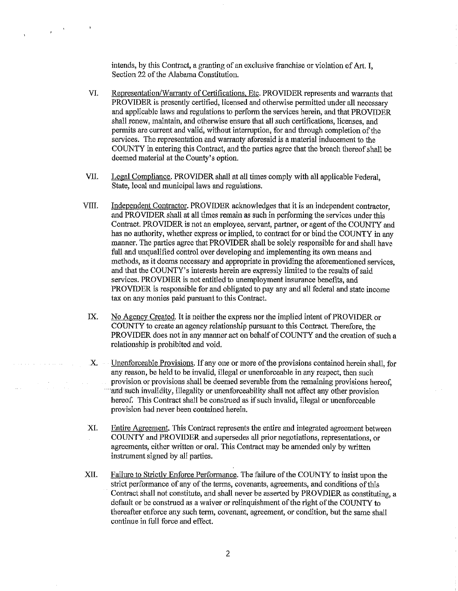intends, by this Contract, a granting of an exclusive franchise or violation of Art. I, Section 22 of the Alabama Constitution.

 $\sim 40$  $\sim$ 

- VI. Representation/Warrantv of Certifications. Etc. PROVIDER represents and warrants that PROVIDER is presently certified, licensed and otherwise permitted under all necessary and applicable laws and regulations to perform the services herein, and that PROVIDER shall renew, maintain, and otherwise ensure that all such certifications, licenses, and permits are current and valid, without interruption, for and through completion of the services. The representation and warranty aforesaid is a material inducement to the COUNTY in entering this Contract, and the parties agree that the breach thereof shall be deemed material at the County's option.
- VII. Legal Compliance. PROVIDER shall at all times comply with all applicable Federal, State, local and municipal laws and regulations.
- VIII. Independent Contractor. PROVIDER acknowledges that it is an independent contractor, and PROVIDER shall at all times remain as such in performing the services under this Contract. PROVIDER is not an employee, servant, partner, or agent of the COUNTY and has no authority, whether express or implied, to contract for or bind the COUNTY in any manner. The parties agree that PROVIDER shall be solely responsible for and shall have full and unqualified control over developing and implementing its own means and methods, as it deems necessary and appropriate in providing the aforementioned services, and that the COUNTY' s interests herein are expressly limited to the results of said services. PROVDIER is not entitled to unemployment insurance benefits, and PROVIDER is responsible for and obligated to pay any and all federal and state income tax on any monies paid pursuant to this Contract.
- IX. No Agency Created. It is neither the express nor the implied intent of PROVIDER or COUNTY to create an agency relationship pursuant to this Contract. Therefore, the PROVIDER does not in any manner act on behalf of COUNTY and the creation of such a relationship is prohibited and void.
- X. Unenforceable Provisions. If any one or more of the provisions contained herein shall, for any reason, be held to be invalid, illegal or unenforceable in any respect, then such provision or provisions shall be deemed severable from the remaining provisions hereof,  $\hat{\mathcal{A}}$ and such invalidity, illegality or unenforceability shall not affect any other provision hereof. This Contract shall be construed as if such invalid, illegal or unenforceable provision had never been contained herein.
- XI. Entire Agreement. This Contract represents the entire and integrated agreement between COUNTY and PROVIDER and supersedes all prior negotiations, representations, or agreements, either written or oral. This Contract may be amended only by written instrument signed by all parties.
- XII. Failure to Strictly Enforce Performance. The failure of the COUNTY to insist upon the strict performance of any of the terms, covenants, agreements, and conditions of this Contract shall not constitute, and shall never be asserted by PROVDIER as constituting, a default or be construed as a waiver or relinquishment of the right of the COUNTY to thereafter enforce any such term, covenant, agreement, or condition, but the same shall continue in full force and effect.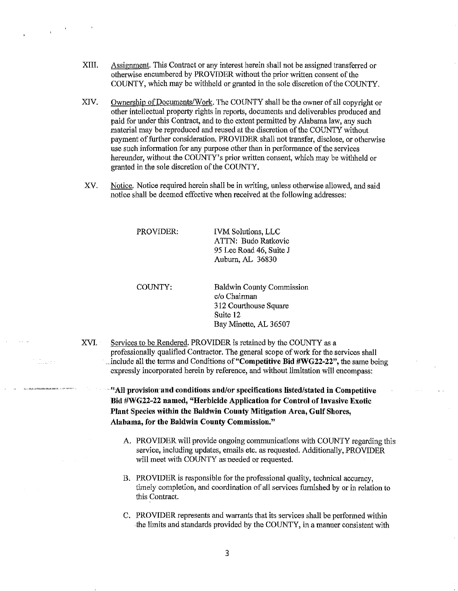- XIII. Assignment. This Contract or any interest herein shall not be assigned transferred or otherwise encmnbered by PROVIDER without the prior written consent of the COUNTY, which may be withheld or granted in the sole discretion of the COUNTY.
- XIV. Ownership of Docmnents/Work. The COUNTY shall be the owner of all copyright or other intellectual property rights in reports, documents and deliverables produced and paid for under this Contract, and to the extent permitted by Alabama law, any such material may be reproduced and reused at the discretion of the COUNTY without payment of further consideration. PROVIDER shall not transfer, disclose, or otherwise use such information for any purpose other than in performance of the services hereunder, without the COUNTY's prior written consent, which may be withheld or granted in the sole discretion of the COUNTY.
- XV. Notice. Notice required herein shall be in writing, unless otherwise allowed, and said notice shall be deemed effective when received at the following addresses:

PROVIDER: IVM Solutions, LLC ATTN: Budo Ratkovic 95 Lee Road 46, Suite J

COUNTY:

e i e<br>Solomonia e e

Baldwin County Commission c/o Chairman 312 Courthouse Square Suite 12 Bay Minette, AL 36507

Auburn, AL 36830

XVI. Services to be Rendered. PROVIDER is retained by the COUNTY as a professionally qualified Contractor. The general scope of work for the services shall . include all the terms and Conditions **of"Competitlve Bid #WG22-22",** the same being expressly incorporated herein by reference, and without limitation will encompass:

**-''AJl·provision·and conditions and/or specifications listed/stated in Competitive**  Bid #WG22-22 named, "Herbicide Application for Control of Invasive Exotic **Plant Species within the Baldwin County Mitigation Area, Gulf Shores, Alabama, for the Baldwin Connty Commission."** 

- A. PROVIDER will provide ongoing communications with COUNTY regarding this service, including updates, emails etc. as requested. Additionally, PROVIDER will meet with COUNTY as needed or requested.
- B. PROVIDER is responsible for the professional quality, technical accuracy, timely completion, and coordination of all services furnished by or in relation to this Contract.
- C. PROVIDER represents and warrants tbat its services shall be performed within the limits and standards provided by the COUNTY, in a manner consistent with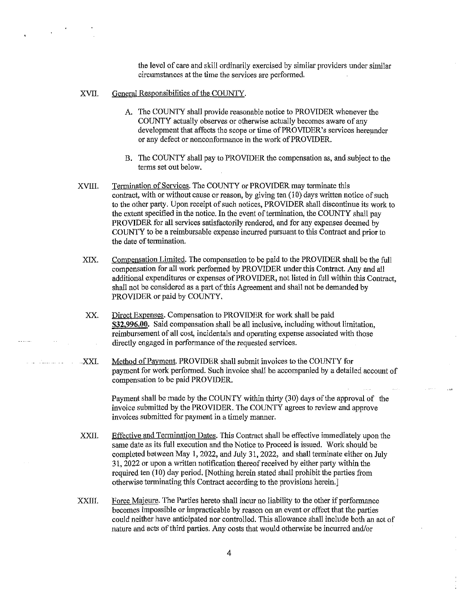the level of care and skill ordinarily exercised by similar providers under similar circumstances at the time the services are performed.

## XVII. General Responsibilities of the COUNTY.

- A. The COUNTY shall provide reasonable notice to PROVIDER whenever the COUNTY actually observes or otherwise actually becomes aware of any development that affects the scope or time of PROVIDER's services hereunder or any defect or nonconformance in the work of PROVIDER.
- B. The COUNTY shall pay to PROVIDER the compensation as, and subject to the terms set out below.
- XVIII. Termination of Services. The COUNTY or PROVIDER may terminate this contract, with or without cause or reason, by giving ten (10) days written notice of such to the other party. Upon receipt of such notices, PROVIDER shall discontinue its work to the extent specified in the notice. In the event of termination, the COUNTY shall pay PROVIDER for all services satisfactorily rendered, and for any expenses deemed by COUNTY to be a reimbursable expense incurred pursuant to this Contract and prior to the date of termination.
	- XIX. Compensation Limited. The compensation to be paid to the PROVIDER shall be the full compensation for all work performed by PROVIDER under this Contract. Any and all additional expenditures or expenses of PROVIDER, not listed in full within this Contract, shall not be considered as a part of this Agreement and shall not be demanded by PROVIDER or paid by COUNTY.
	- xx. Direct Expenses. Compensation to PROVIDER for work shall be paid **\$32,996.00.** Said compensation shall be all inclusive, including without limitation, reimbursement of all cost, incidentals and operating expense associated with those directly engaged in performance of the requested services.
- XXL Method of Payment. PROVIDER shall submit invoices to the COUNTY for payment for work performed. Such invoice shall be accompanied by a detailed account of compensation to be paid PROVIDER.

Payment shall be made by the COUNTY within thirty (30) days of the approval of the invoice submitted by the PROVIDER. The COUNTY agrees to review and approve invoices submitted for payment in a timely manner.

ilan<br>San

- XXII. Effective and Termination Dates. This Contract shall be effective immediately upon the same date as its full execution and the Notice to Proceed is issued. Work should be completed between May **1,** 2022, and July 31, 2022, and shall terminate either on July 31, 2022 or upon a written notification thereof received by either party within the required ten (10) day period. [Nothing herein stated shall prohibit the parties from otherwise terminating this Contract according to the provisions herein.]
- XXIII. Force Majeure. The Parties hereto shall incur no liability to the other if performance becomes impossible or impracticable by reason on an event or effect that the parties could neither have anticipated nor controlled. This allowance shall include both an act of nature and acts of third parties. Any costs that would otherwise be incurred and/or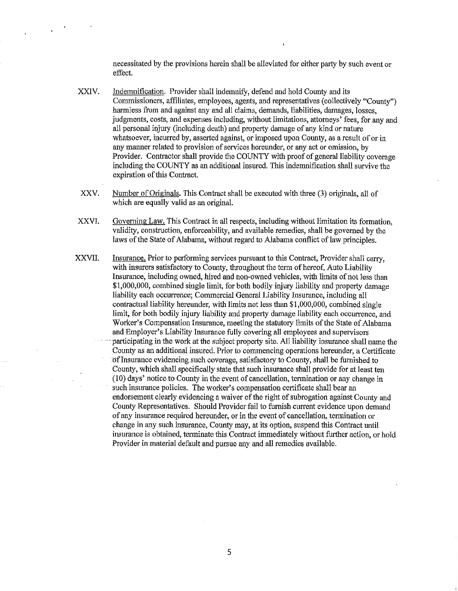necessitated by the provisions herein shall be alleviated for either party by such event or effect.

- XXIV. Indemnification. Provider shall indemnify, defend and hold County and its Commissioners, affiliates, employees, agents, and representatives (collectively "County") harmless from and against any and all claims, demands, liabilities, damages, losses, judgments, costs, and expenses including, without limitations, attorneys' fees, for any and all personal injury (including death) and property damage of any kind or nature whatsoever, incurred by, asserted against, or imposed upon County, as a result of or in any manner related to provision of services herennder, or any act or omission, by Provider. Contractor shall provide the COUNTY with proof of general liability coverage including the COUNTY as an additional insured. This indemnification shall survive the expiration of this Contract.
- XXV. Number of Originals. This Contract shall be executed with three (3) originals, all of which are equally valid as an original.
- XXVI. Governing Law. This Contract in all respects, including without limitation its formation, validity, construction, enforceability, and available remedies, shall be governed by the laws of the State of Alabama, without regard to Alabama conflict of law principles.
- XXVII. Insurance. Prior to performing services pursuant to this Contract, Provider shall carry. with insurers satisfactory to County, throughout the term of hereof, Auto Liability Insurance, including owned, hired and non-owned vehicles, with limits of not less than \$1,000,000, combined single limit, for both bodily injury liability and property damage liability each occurrence; Commercial General Liability Insurance, including all contractual liability herennder, with limits not less than \$1,000,000, combined single limit, for both bodily injury liability and property damage liability each occurrence, and Worker's Compensation Insurance, meeting the statutory limits of the State of Alabama and Employer's Liability Insurance fully covering all employees and supervisors -participating in the work at the subject property site. All liability insurance shall name the County as an additional insured. Prior to commencing operations hereunder, a Certificate of Insurance evidencing such coverage, satisfactory to County, shall be furnished to County, which shall specifically state that such insurance shall provide for at least ten (! 0) days' notice to Connty in the event of cancellation, termination or any change in such insurance policies. The worker's compensation certificate shall bear an endorsement clearly evidencing a waiver of the right of subrogation against Connty and Connty Representatives. Should Provider fail to furnish current evidence upon demand of any insurance required herennder, or in the event of cancellation, termination or change in any such insurance, County may, at its option, suspend this Contract until insurance is obtained, terminate this Contract immediately without further action, or hold Provider in material default and pursue any and all remedies available.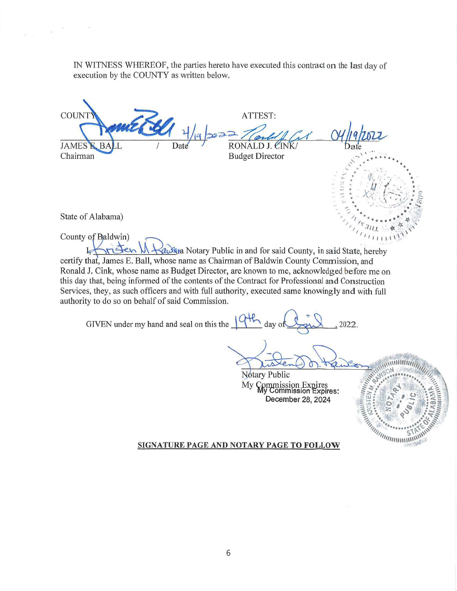IN WITNESS WHEREOF, the parties hereto have executed this contract on the last day of execution by the COUNTY as written below.

**COUNT** ATTEST: 1 1 1 1 1 1 2022 Tlack/f Cit RONALD J. CINK ,..:... . . . . . . . . .  $\mathbf{e}$ <sup>'</sup> Chairman Budget Director <sup>~</sup>. ~ . . ' . - . . . . :f. '·'.. :' . ' ... . ::: • \'.·IJ. (. :.· • - - • ',/ ' . ....: :, I • *<sup>C</sup>*- .... . /\\_, ·; -- ,: /1 : *.... '::;* :..- . ~ ' ..... ~ -"/ . <sup>~</sup>

State of Alabama)

County of Baldwin)  $\bigcap_{\{i_1, i_2, \ldots, i_n\}$ County of Baldwin)<br>Land Malay Rotary Public in and for said County, in said State, hereby certify that, James E. Ball, whose name as Chairman of Baldwin County Commission, and Ronald J. Cink, whose name as Budget Director, are known to me, acknowledged before me on this day that, being informed of the contents of the Contract for Professional and Construction Services, they, as such officers and with full authority, executed same knowingly and with full authority to do so on behalf of said Commission.

GIVEN under my hand and seal on this the  $\frac{\sqrt{4\pi}}{4}$  day of  $\frac{\sqrt{2}}{2}$ , 2022.

..,., . , ' *·-\_:.....--::...,..* . "' .,... *r* • • <sup>~</sup>  $\overline{\phantom{a}}$ ,  $\overline{\phantom{a}}$ ,  $\overline{\phantom{a}}$ ,  $\overline{\phantom{a}}$ ,  $\overline{\phantom{a}}$ ,  $\overline{\phantom{a}}$ ,  $\overline{\phantom{a}}$ ,  $\overline{\phantom{a}}$ ,  $\overline{\phantom{a}}$ ,  $\overline{\phantom{a}}$ ,  $\overline{\phantom{a}}$ ,  $\overline{\phantom{a}}$ ,  $\overline{\phantom{a}}$ ,  $\overline{\phantom{a}}$ ,  $\overline{\phantom{a}}$ ,  $\overline{\phantom{a}}$ ,  $\overline{\phantom{a}}$ , / *' <sup>i</sup>*••••• '11- •  $\frac{1}{2} \int_{1}^{1} 3 \eta_{11} \, dx \leq \infty$  $\mathcal{L}_{I}$  .  $\mathcal{L}_{I}$ 

**CONTRACTOR** 

**Notary Public** My Commission Expires<br>My Commission Expires: December 28, 2024

SIGNATURE PAGE AND NOTARY PAGE TO FOLLOW